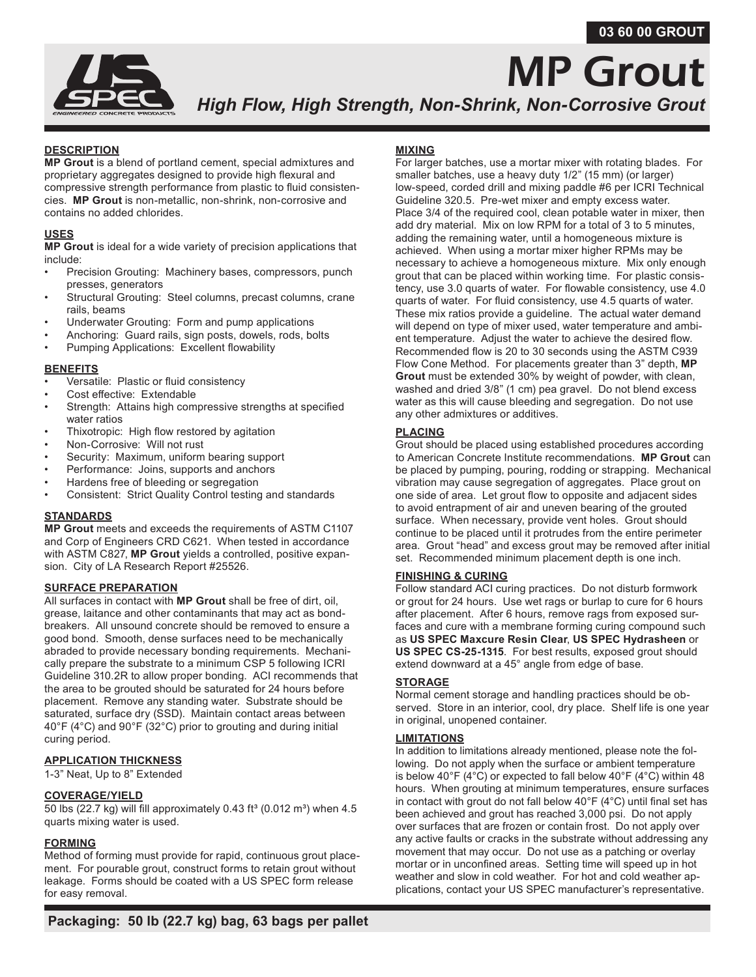# **03 60 00 GROUT**



# MP Grout *High Flow, High Strength, Non-Shrink, Non-Corrosive Grout*

# **DESCRIPTION**

**MP Grout** is a blend of portland cement, special admixtures and proprietary aggregates designed to provide high flexural and compressive strength performance from plastic to fluid consistencies. **MP Grout** is non-metallic, non-shrink, non-corrosive and contains no added chlorides.

## **USES**

**MP Grout** is ideal for a wide variety of precision applications that include:

- Precision Grouting: Machinery bases, compressors, punch presses, generators
- Structural Grouting: Steel columns, precast columns, crane rails, beams
- Underwater Grouting: Form and pump applications
- Anchoring: Guard rails, sign posts, dowels, rods, bolts
- Pumping Applications: Excellent flowability

#### **BENEFITS**

- Versatile: Plastic or fluid consistency
- Cost effective: Extendable
- Strength: Attains high compressive strengths at specified water ratios
- Thixotropic: High flow restored by agitation
- Non-Corrosive: Will not rust
- Security: Maximum, uniform bearing support
- Performance: Joins, supports and anchors
- Hardens free of bleeding or segregation
- Consistent: Strict Quality Control testing and standards

## **STANDARDS**

**MP Grout** meets and exceeds the requirements of ASTM C1107 and Corp of Engineers CRD C621. When tested in accordance with ASTM C827, **MP Grout** yields a controlled, positive expansion. City of LA Research Report #25526.

## **SURFACE PREPARATION**

All surfaces in contact with **MP Grout** shall be free of dirt, oil, grease, laitance and other contaminants that may act as bondbreakers. All unsound concrete should be removed to ensure a good bond. Smooth, dense surfaces need to be mechanically abraded to provide necessary bonding requirements. Mechanically prepare the substrate to a minimum CSP 5 following ICRI Guideline 310.2R to allow proper bonding. ACI recommends that the area to be grouted should be saturated for 24 hours before placement. Remove any standing water. Substrate should be saturated, surface dry (SSD). Maintain contact areas between 40°F (4°C) and 90°F (32°C) prior to grouting and during initial curing period.

# **APPLICATION THICKNESS**

1-3" Neat, Up to 8" Extended

## **COVERAGE/YIELD**

50 lbs (22.7 kg) will fill approximately 0.43 ft<sup>3</sup> (0.012 m<sup>3</sup>) when 4.5 quarts mixing water is used.

# **FORMING**

Method of forming must provide for rapid, continuous grout placement. For pourable grout, construct forms to retain grout without leakage. Forms should be coated with a US SPEC form release for easy removal.

# **MIXING**

For larger batches, use a mortar mixer with rotating blades. For smaller batches, use a heavy duty 1/2" (15 mm) (or larger) low-speed, corded drill and mixing paddle #6 per ICRI Technical Guideline 320.5. Pre-wet mixer and empty excess water. Place 3/4 of the required cool, clean potable water in mixer, then add dry material. Mix on low RPM for a total of 3 to 5 minutes, adding the remaining water, until a homogeneous mixture is achieved. When using a mortar mixer higher RPMs may be necessary to achieve a homogeneous mixture. Mix only enough grout that can be placed within working time. For plastic consistency, use 3.0 quarts of water. For flowable consistency, use 4.0 quarts of water. For fluid consistency, use 4.5 quarts of water. These mix ratios provide a guideline. The actual water demand will depend on type of mixer used, water temperature and ambient temperature. Adjust the water to achieve the desired flow. Recommended flow is 20 to 30 seconds using the ASTM C939 Flow Cone Method. For placements greater than 3" depth, **MP Grout** must be extended 30% by weight of powder, with clean, washed and dried 3/8" (1 cm) pea gravel. Do not blend excess water as this will cause bleeding and segregation. Do not use any other admixtures or additives.

# **PLACING**

Grout should be placed using established procedures according to American Concrete Institute recommendations. **MP Grout** can be placed by pumping, pouring, rodding or strapping. Mechanical vibration may cause segregation of aggregates. Place grout on one side of area. Let grout flow to opposite and adjacent sides to avoid entrapment of air and uneven bearing of the grouted surface. When necessary, provide vent holes. Grout should continue to be placed until it protrudes from the entire perimeter area. Grout "head" and excess grout may be removed after initial set. Recommended minimum placement depth is one inch.

# **FINISHING & CURING**

Follow standard ACI curing practices. Do not disturb formwork or grout for 24 hours. Use wet rags or burlap to cure for 6 hours after placement. After 6 hours, remove rags from exposed surfaces and cure with a membrane forming curing compound such as **US SPEC Maxcure Resin Clear**, **US SPEC Hydrasheen** or **US SPEC CS-25-1315**. For best results, exposed grout should extend downward at a 45° angle from edge of base.

## **STORAGE**

Normal cement storage and handling practices should be observed. Store in an interior, cool, dry place. Shelf life is one year in original, unopened container.

## **LIMITATIONS**

In addition to limitations already mentioned, please note the following. Do not apply when the surface or ambient temperature is below 40°F (4°C) or expected to fall below 40°F (4°C) within 48 hours. When grouting at minimum temperatures, ensure surfaces in contact with grout do not fall below 40°F (4°C) until final set has been achieved and grout has reached 3,000 psi. Do not apply over surfaces that are frozen or contain frost. Do not apply over any active faults or cracks in the substrate without addressing any movement that may occur. Do not use as a patching or overlay mortar or in unconfined areas. Setting time will speed up in hot weather and slow in cold weather. For hot and cold weather applications, contact your US SPEC manufacturer's representative.